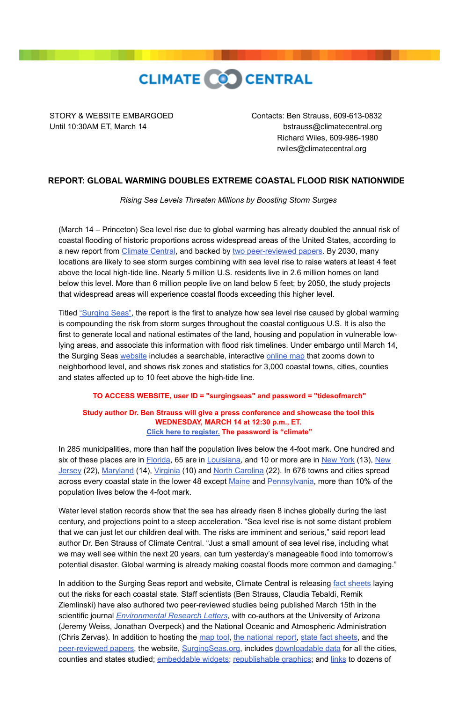

STORY & WEBSITE EMBARGOED Contacts: Ben Strauss, 609-613-0832 Until 10:30AM ET, March 14 bstrauss@climatecentral.org Richard Wiles, 609-986-1980 rwiles@climatecentral.org

## **REPORT: GLOBAL WARMING DOUBLES EXTREME COASTAL FLOOD RISK NATIONWIDE**

*Rising Sea Levels Threaten Millions by Boosting Storm Surges* 

(March 14 – Princeton) Sea level rise due to global warming has already doubled the annual risk of coastal flooding of historic proportions across widespread areas of the United States, according to a new report from [Climate Central,](http://www.climatecentral.org/) and backed by [two peer-reviewed papers.](http://sealevel.climatecentral.org/research/papers/) By 2030, many locations are likely to see storm surges combining with sea level rise to raise waters at least 4 feet above the local high-tide line. Nearly 5 million U.S. residents live in 2.6 million homes on land below this level. More than 6 million people live on land below 5 feet; by 2050, the study projects that widespread areas will experience coastal floods exceeding this higher level.

Titled ["Surging Seas",](http://sealevel.climatecentral.org/research/reports/surging-seas/) the report is the first to analyze how sea level rise caused by global warming is compounding the risk from storm surges throughout the coastal contiguous U.S. It is also the first to generate local and national estimates of the land, housing and population in vulnerable lowlying areas, and associate this information with flood risk timelines. Under embargo until March 14, the Surging Seas [website](http://sealevel.climatecentral.org/) includes a searchable, interactive [online map](http://sealevel.climatecentral.org/surgingseas/) that zooms down to neighborhood level, and shows risk zones and statistics for 3,000 coastal towns, cities, counties and states affected up to 10 feet above the high-tide line.

## **TO ACCESS WEBSITE, user ID = "surgingseas" and password = "tidesofmarch"**

## **Study author Dr. Ben Strauss will give a press conference and showcase the tool this WEDNESDAY, MARCH 14 at 12:30 p.m., ET. [Click here to register.](https://climatecentralevents.webex.com/climatecentralevents/onstage/g.php?t=a&d=668472213) The password is "climate"**

In 285 municipalities, more than half the population lives below the 4-foot mark. One hundred and [six of these places are in](http://sealevel.climatecentral.org/surgingseas/place/states/NJ#show=cities¢er=8/40.085/-74.724&surg) **[Florida](http://sealevel.climatecentral.org/surgingseas/place/states/FL#show=cities¢er=7/27.817/-81.959&surg)**[, 65 are in](http://sealevel.climatecentral.org/surgingseas/place/states/NJ#show=cities¢er=8/40.085/-74.724&surg) **[Louisiana](http://sealevel.climatecentral.org/surgingseas/place/states/LA#show=cities¢er=8/29.875/-91.654&surg)**[, and 10 or more are in](http://sealevel.climatecentral.org/surgingseas/place/states/NJ#show=cities¢er=8/40.085/-74.724&surg) [New Yor](http://sealevel.climatecentral.org/surgingseas/place/states/NY#show=cities¢er=8/41.534/-73.595&surg)[k \(13\), New](http://sealevel.climatecentral.org/surgingseas/place/states/NJ#show=cities¢er=8/40.085/-74.724&surg) Jersey (22), [Maryland](http://sealevel.climatecentral.org/surgingseas/place/states/MD#show=cities¢er=8/38.811/-77.237&surg) (14), [Virginia](http://sealevel.climatecentral.org/surgingseas/place/states/VA#show=cities¢er=8/37.897/-77.207&surg) (10) and [North Carolina](http://sealevel.climatecentral.org/surgingseas/place/states/NC#show=cities¢er=8/35.210/-78.153&surg) (22). In 676 towns and cities spread across every coastal state in the lower 48 except [Maine](http://sealevel.climatecentral.org/surgingseas/place/states/ME#show=cities¢er=8/44.156/-69.441&surg) and [Pennsylvania,](http://sealevel.climatecentral.org/surgingseas/place/states/PA#show=cities¢er=9/39.8188/-75.3442&su) more than 10% of the population lives below the 4-foot mark.

Water level station records show that the sea has already risen 8 inches globally during the last century, and projections point to a steep acceleration. "Sea level rise is not some distant problem that we can just let our children deal with. The risks are imminent and serious," said report lead author Dr. Ben Strauss of Climate Central. "Just a small amount of sea level rise, including what we may well see within the next 20 years, can turn yesterday's manageable flood into tomorrow's potential disaster. Global warming is already making coastal floods more common and damaging."

In addition to the Surging Seas report and website, Climate Central is releasing [fact sheets](http://sealevel.climatecentral.org/research/reports/surging-seas-state-factsheets/) laying out the risks for each coastal state. Staff scientists (Ben Strauss, Claudia Tebaldi, Remik Ziemlinski) have also authored two peer-reviewed studies being published March 15th in the scientific journal *[Environmental Research Letters](http://erl.iop.org/)*, with co-authors at the University of Arizona (Jeremy Weiss, Jonathan Overpeck) and the National Oceanic and Atmospheric Administration (Chris Zervas). In addition to hosting the [map tool,](http://sealevel.climatecentral.org/surgingseas/) [the national report,](http://sealevel.climatecentral.org/research/reports/surging-seas/) [state fact sheets,](http://sealevel.climatecentral.org/research/reports/surging-seas-state-factsheets/) and the [peer-reviewed papers,](http://sealevel.climatecentral.org/research/papers/) the website, [SurgingSeas.org](http://surgingseas.org/), includes [downloadable data](http://sealevel.climatecentral.org/research/data-downloads/) for all the cities, counties and states studied; [embeddable widgets;](http://sealevel.climatecentral.org/activate/widgets/) [republishable graphics;](http://sealevel.climatecentral.org/maps/) and [links](http://sealevel.climatecentral.org/responses/plans/) to dozens of